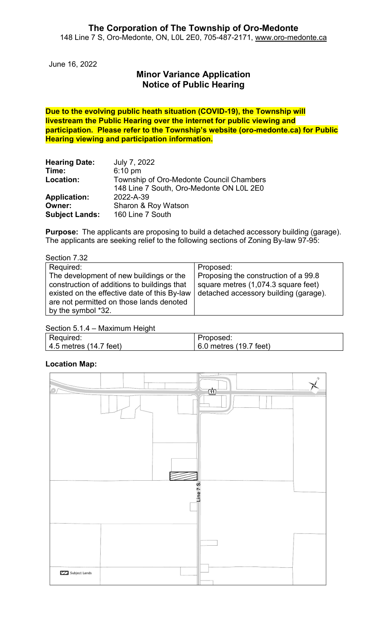June 16, 2022

# **Minor Variance Application Notice of Public Hearing**

**Due to the evolving public heath situation (COVID-19), the Township will livestream the Public Hearing over the internet for public viewing and participation. Please refer to the Township's website (oro-medonte.ca) for Public Hearing viewing and participation information.**

| <b>Hearing Date:</b>  | July 7, 2022                             |
|-----------------------|------------------------------------------|
| Time:                 | $6:10$ pm                                |
| Location:             | Township of Oro-Medonte Council Chambers |
|                       | 148 Line 7 South, Oro-Medonte ON L0L 2E0 |
| <b>Application:</b>   | 2022-A-39                                |
| Owner:                | Sharon & Roy Watson                      |
| <b>Subject Lands:</b> | 160 Line 7 South                         |

**Purpose:** The applicants are proposing to build a detached accessory building (garage). The applicants are seeking relief to the following sections of Zoning By-law 97-95:

Section 7.32

| Required:                                                                                                                                                                          | Proposed:                                                                                                            |
|------------------------------------------------------------------------------------------------------------------------------------------------------------------------------------|----------------------------------------------------------------------------------------------------------------------|
| The development of new buildings or the<br>construction of additions to buildings that<br>existed on the effective date of this By-law<br>are not permitted on those lands denoted | Proposing the construction of a 99.8<br>square metres (1,074.3 square feet)<br>detached accessory building (garage). |
| by the symbol *32.                                                                                                                                                                 |                                                                                                                      |

#### Section 5.1.4 – Maximum Height

| Required:              | Proposed:              |
|------------------------|------------------------|
| 4.5 metres (14.7 feet) | 6.0 metres (19.7 feet) |

#### **Location Map:**

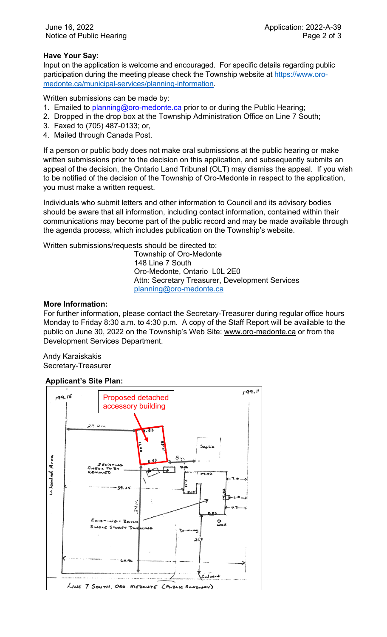## **Have Your Say:**

Input on the application is welcome and encouraged. For specific details regarding public participation during the meeting please check the Township website at [https://www.oro](https://www.oro-medonte.ca/municipal-services/planning-information)[medonte.ca/municipal-services/planning-information.](https://www.oro-medonte.ca/municipal-services/planning-information)

Written submissions can be made by:

- 1. Emailed to *planning@oro-medonte.ca* prior to or during the Public Hearing;
- 2. Dropped in the drop box at the Township Administration Office on Line 7 South;
- 3. Faxed to (705) 487-0133; or,
- 4. Mailed through Canada Post.

If a person or public body does not make oral submissions at the public hearing or make written submissions prior to the decision on this application, and subsequently submits an appeal of the decision, the Ontario Land Tribunal (OLT) may dismiss the appeal. If you wish to be notified of the decision of the Township of Oro-Medonte in respect to the application, you must make a written request.

Individuals who submit letters and other information to Council and its advisory bodies should be aware that all information, including contact information, contained within their communications may become part of the public record and may be made available through the agenda process, which includes publication on the Township's website.

Written submissions/requests should be directed to:

Township of Oro-Medonte 148 Line 7 South Oro-Medonte, Ontario L0L 2E0 Attn: Secretary Treasurer, Development Services [planning@oro-medonte.ca](mailto:planning@oro-medonte.ca)

#### **More Information:**

For further information, please contact the Secretary-Treasurer during regular office hours Monday to Friday 8:30 a.m. to 4:30 p.m. A copy of the Staff Report will be available to the public on June 30, 2022 on the Township's Web Site: [www.oro-medonte.ca](http://www.oro-medonte.ca/) or from the Development Services Department.

Andy Karaiskakis Secretary-Treasurer

### **Applicant's Site Plan:**